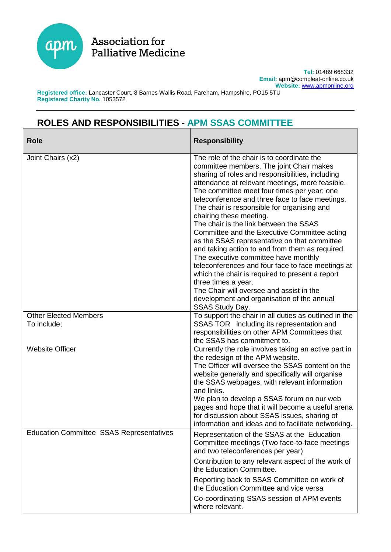

Association for **Palliative Medicine** 

> **Tel:** 01489 668332 **Email:** apm@compleat-online.co.uk **Website:** [www.apmonline.org](http://www.apmonline.org/)

**Registered office:** Lancaster Court, 8 Barnes Wallis Road, Fareham, Hampshire, PO15 5TU **Registered Charity No.** 1053572

## **ROLES AND RESPONSIBILITIES - APM SSAS COMMITTEE**

| <b>Role</b>                                     | <b>Responsibility</b>                                                                                                                                                                                                                                                                                                                                                                                                                                                                                                                                                                                                                                                                                                                                                                                                                                      |
|-------------------------------------------------|------------------------------------------------------------------------------------------------------------------------------------------------------------------------------------------------------------------------------------------------------------------------------------------------------------------------------------------------------------------------------------------------------------------------------------------------------------------------------------------------------------------------------------------------------------------------------------------------------------------------------------------------------------------------------------------------------------------------------------------------------------------------------------------------------------------------------------------------------------|
| Joint Chairs (x2)                               | The role of the chair is to coordinate the<br>committee members. The joint Chair makes<br>sharing of roles and responsibilities, including<br>attendance at relevant meetings, more feasible.<br>The committee meet four times per year; one<br>teleconference and three face to face meetings.<br>The chair is responsible for organising and<br>chairing these meeting.<br>The chair is the link between the SSAS<br>Committee and the Executive Committee acting<br>as the SSAS representative on that committee<br>and taking action to and from them as required.<br>The executive committee have monthly<br>teleconferences and four face to face meetings at<br>which the chair is required to present a report<br>three times a year.<br>The Chair will oversee and assist in the<br>development and organisation of the annual<br>SSAS Study Day. |
| <b>Other Elected Members</b><br>To include;     | To support the chair in all duties as outlined in the<br>SSAS TOR including its representation and<br>responsibilities on other APM Committees that<br>the SSAS has commitment to.                                                                                                                                                                                                                                                                                                                                                                                                                                                                                                                                                                                                                                                                         |
| <b>Website Officer</b>                          | Currently the role involves taking an active part in<br>the redesign of the APM website.<br>The Officer will oversee the SSAS content on the<br>website generally and specifically will organise<br>the SSAS webpages, with relevant information<br>and links.<br>We plan to develop a SSAS forum on our web<br>pages and hope that it will become a useful arena<br>for discussion about SSAS issues, sharing of<br>information and ideas and to facilitate networking.                                                                                                                                                                                                                                                                                                                                                                                   |
| <b>Education Committee SSAS Representatives</b> | Representation of the SSAS at the Education<br>Committee meetings (Two face-to-face meetings<br>and two teleconferences per year)<br>Contribution to any relevant aspect of the work of<br>the Education Committee.<br>Reporting back to SSAS Committee on work of<br>the Education Committee and vice versa<br>Co-coordinating SSAS session of APM events<br>where relevant.                                                                                                                                                                                                                                                                                                                                                                                                                                                                              |